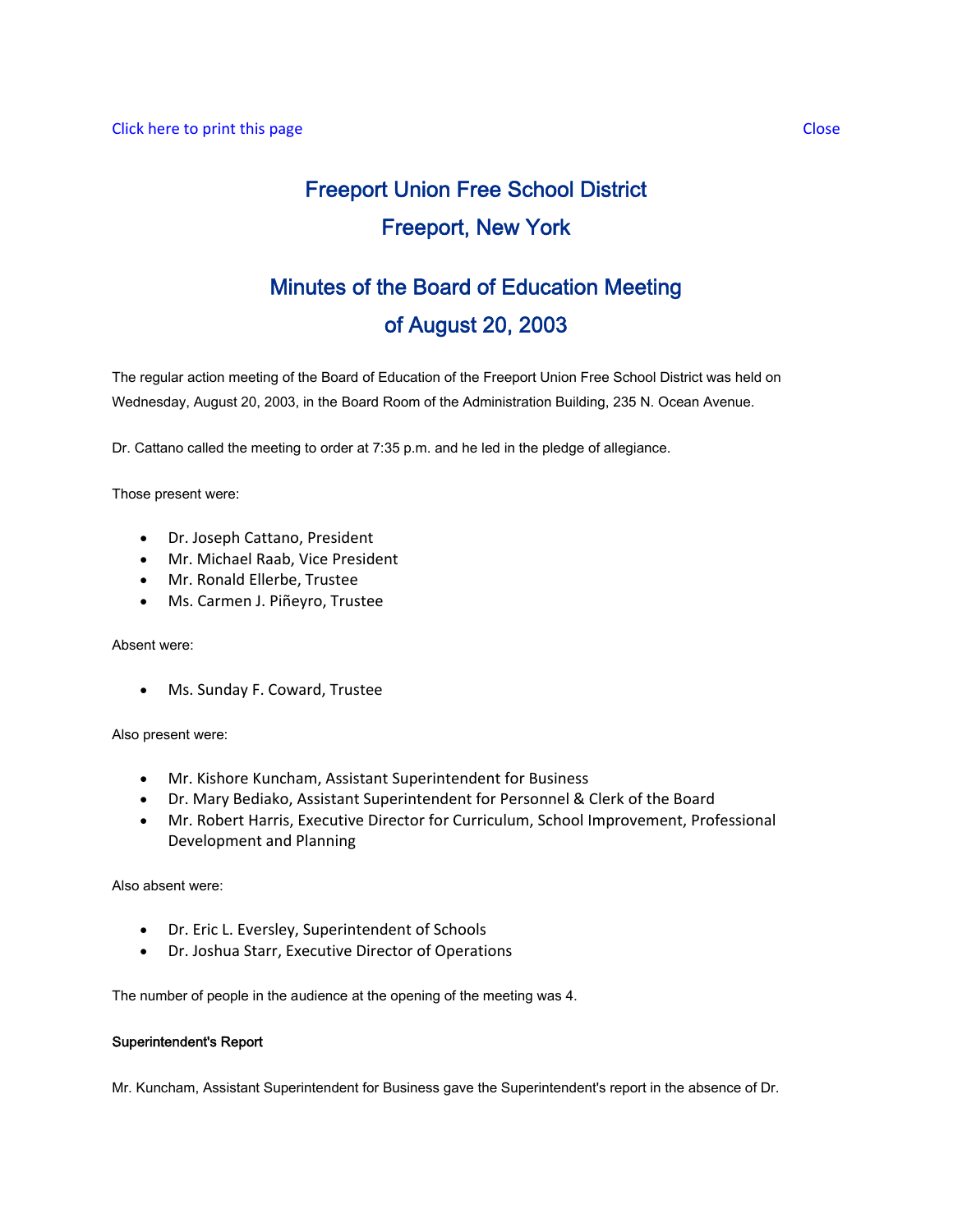# Freeport Union Free School District Freeport, New York

# Minutes of the Board of Education Meeting of August 20, 2003

The regular action meeting of the Board of Education of the Freeport Union Free School District was held on Wednesday, August 20, 2003, in the Board Room of the Administration Building, 235 N. Ocean Avenue.

Dr. Cattano called the meeting to order at 7:35 p.m. and he led in the pledge of allegiance.

Those present were:

- Dr. Joseph Cattano, President
- Mr. Michael Raab, Vice President
- Mr. Ronald Ellerbe, Trustee
- Ms. Carmen J. Piñeyro, Trustee

Absent were:

• Ms. Sunday F. Coward, Trustee

Also present were:

- Mr. Kishore Kuncham, Assistant Superintendent for Business
- Dr. Mary Bediako, Assistant Superintendent for Personnel & Clerk of the Board
- Mr. Robert Harris, Executive Director for Curriculum, School Improvement, Professional Development and Planning

Also absent were:

- Dr. Eric L. Eversley, Superintendent of Schools
- Dr. Joshua Starr, Executive Director of Operations

The number of people in the audience at the opening of the meeting was 4.

#### Superintendent's Report

Mr. Kuncham, Assistant Superintendent for Business gave the Superintendent's report in the absence of Dr.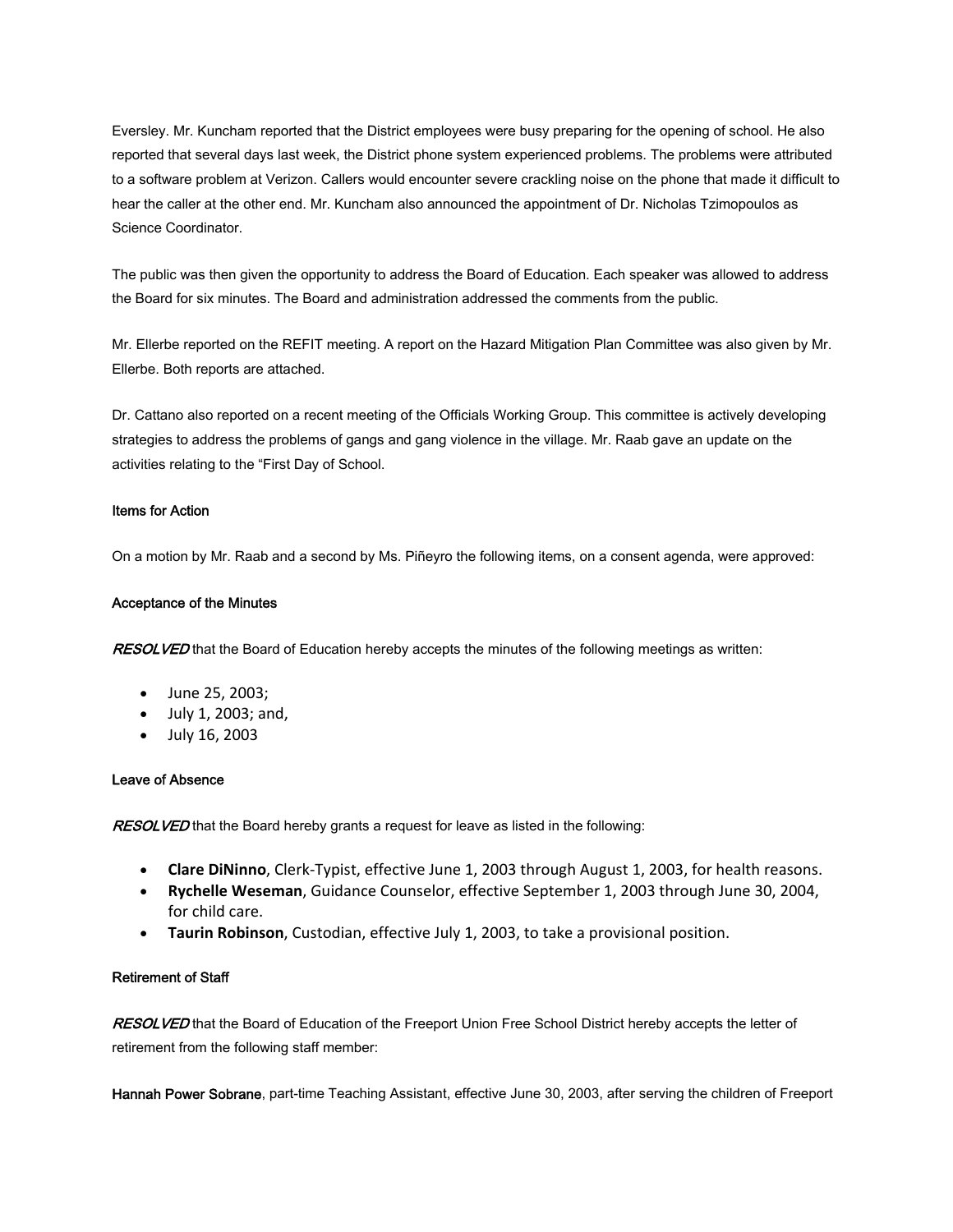Eversley. Mr. Kuncham reported that the District employees were busy preparing for the opening of school. He also reported that several days last week, the District phone system experienced problems. The problems were attributed to a software problem at Verizon. Callers would encounter severe crackling noise on the phone that made it difficult to hear the caller at the other end. Mr. Kuncham also announced the appointment of Dr. Nicholas Tzimopoulos as Science Coordinator.

The public was then given the opportunity to address the Board of Education. Each speaker was allowed to address the Board for six minutes. The Board and administration addressed the comments from the public.

Mr. Ellerbe reported on the REFIT meeting. A report on the Hazard Mitigation Plan Committee was also given by Mr. Ellerbe. Both reports are attached.

Dr. Cattano also reported on a recent meeting of the Officials Working Group. This committee is actively developing strategies to address the problems of gangs and gang violence in the village. Mr. Raab gave an update on the activities relating to the "First Day of School.

#### Items for Action

On a motion by Mr. Raab and a second by Ms. Piñeyro the following items, on a consent agenda, were approved:

#### Acceptance of the Minutes

RESOLVED that the Board of Education hereby accepts the minutes of the following meetings as written:

- June 25, 2003;
- July 1, 2003; and,
- July 16, 2003

#### Leave of Absence

**RESOLVED** that the Board hereby grants a request for leave as listed in the following:

- **Clare DiNinno**, Clerk‐Typist, effective June 1, 2003 through August 1, 2003, for health reasons.
- **Rychelle Weseman**, Guidance Counselor, effective September 1, 2003 through June 30, 2004, for child care.
- **Taurin Robinson**, Custodian, effective July 1, 2003, to take a provisional position.

#### Retirement of Staff

RESOLVED that the Board of Education of the Freeport Union Free School District hereby accepts the letter of retirement from the following staff member:

Hannah Power Sobrane, part-time Teaching Assistant, effective June 30, 2003, after serving the children of Freeport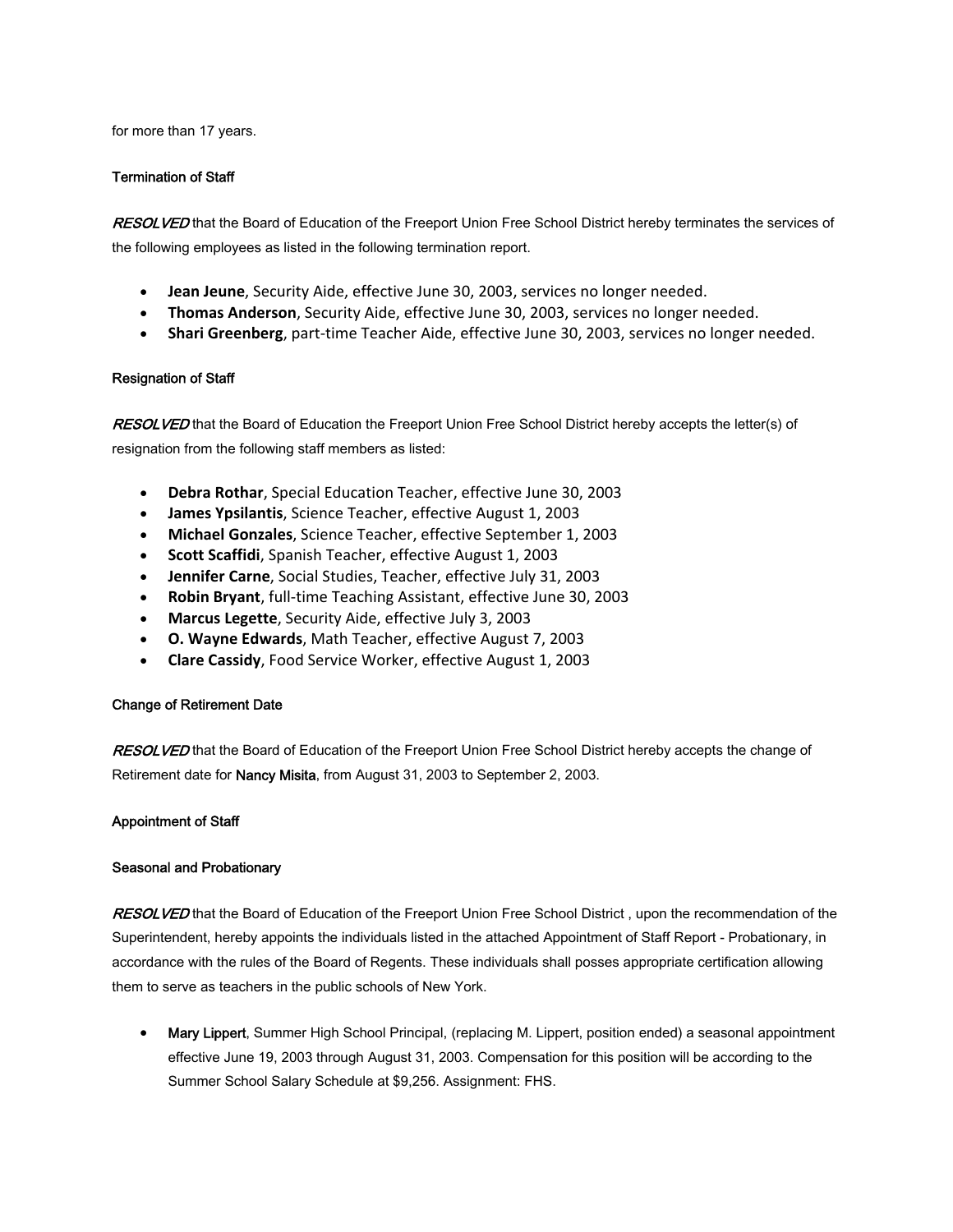for more than 17 years.

### Termination of Staff

RESOLVED that the Board of Education of the Freeport Union Free School District hereby terminates the services of the following employees as listed in the following termination report.

- **Jean Jeune**, Security Aide, effective June 30, 2003, services no longer needed.
- **Thomas Anderson**, Security Aide, effective June 30, 2003, services no longer needed.
- **Shari Greenberg**, part‐time Teacher Aide, effective June 30, 2003, services no longer needed.

#### Resignation of Staff

RESOLVED that the Board of Education the Freeport Union Free School District hereby accepts the letter(s) of resignation from the following staff members as listed:

- **Debra Rothar**, Special Education Teacher, effective June 30, 2003
- **James Ypsilantis**, Science Teacher, effective August 1, 2003
- **Michael Gonzales**, Science Teacher, effective September 1, 2003
- **Scott Scaffidi**, Spanish Teacher, effective August 1, 2003
- **Jennifer Carne**, Social Studies, Teacher, effective July 31, 2003
- **Robin Bryant**, full‐time Teaching Assistant, effective June 30, 2003
- **Marcus Legette**, Security Aide, effective July 3, 2003
- **O. Wayne Edwards**, Math Teacher, effective August 7, 2003
- **Clare Cassidy**, Food Service Worker, effective August 1, 2003

# Change of Retirement Date

RESOLVED that the Board of Education of the Freeport Union Free School District hereby accepts the change of Retirement date for **Nancy Misita**, from August 31, 2003 to September 2, 2003.

# Appointment of Staff

# Seasonal and Probationary

RESOLVED that the Board of Education of the Freeport Union Free School District, upon the recommendation of the Superintendent, hereby appoints the individuals listed in the attached Appointment of Staff Report - Probationary, in accordance with the rules of the Board of Regents. These individuals shall posses appropriate certification allowing them to serve as teachers in the public schools of New York.

• Mary Lippert, Summer High School Principal, (replacing M. Lippert, position ended) a seasonal appointment effective June 19, 2003 through August 31, 2003. Compensation for this position will be according to the Summer School Salary Schedule at \$9,256. Assignment: FHS.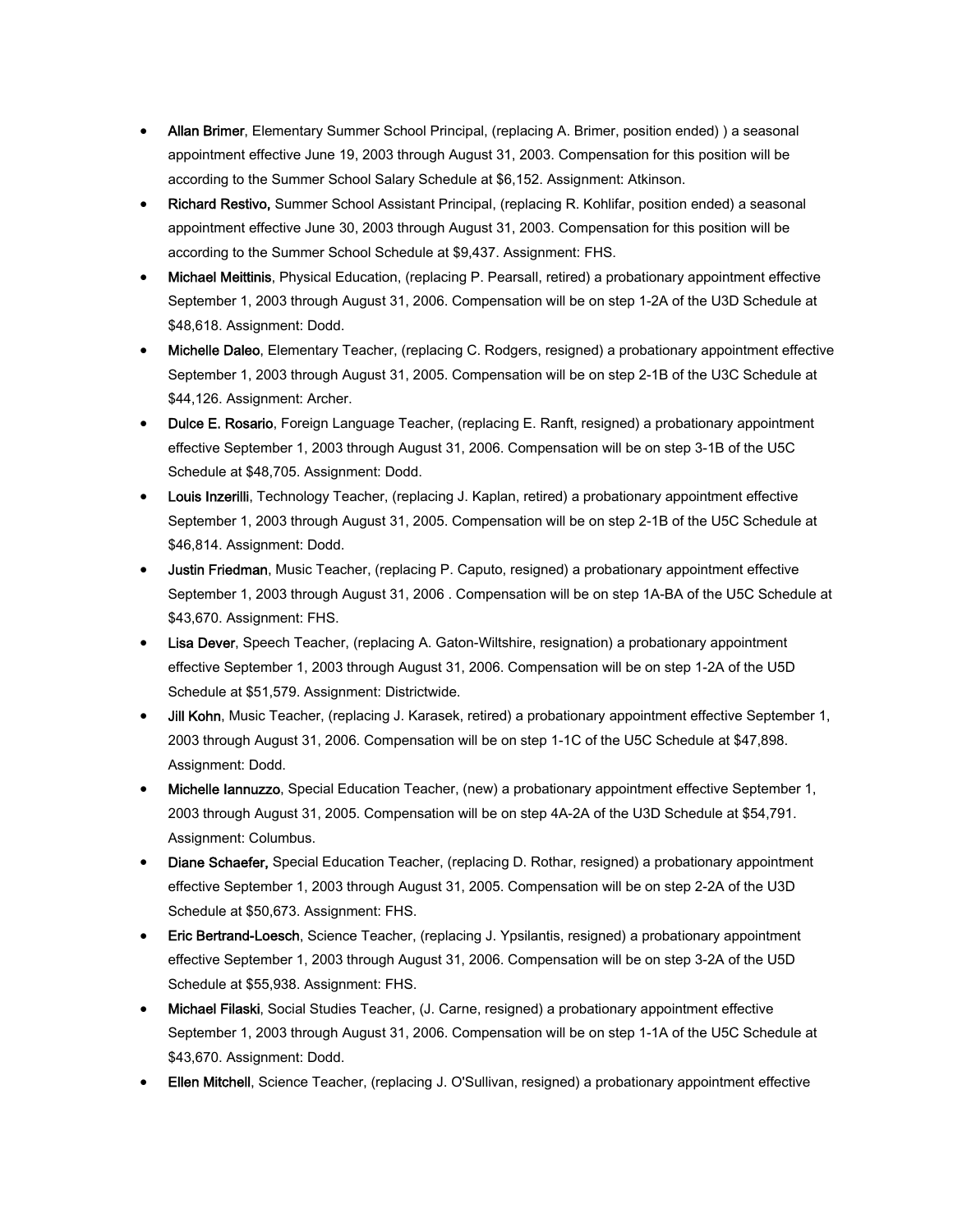- Allan Brimer, Elementary Summer School Principal, (replacing A. Brimer, position ended) ) a seasonal appointment effective June 19, 2003 through August 31, 2003. Compensation for this position will be according to the Summer School Salary Schedule at \$6,152. Assignment: Atkinson.
- Richard Restivo, Summer School Assistant Principal, (replacing R. Kohlifar, position ended) a seasonal appointment effective June 30, 2003 through August 31, 2003. Compensation for this position will be according to the Summer School Schedule at \$9,437. Assignment: FHS.
- Michael Meittinis, Physical Education, (replacing P. Pearsall, retired) a probationary appointment effective September 1, 2003 through August 31, 2006. Compensation will be on step 1-2A of the U3D Schedule at \$48,618. Assignment: Dodd.
- Michelle Daleo, Elementary Teacher, (replacing C. Rodgers, resigned) a probationary appointment effective September 1, 2003 through August 31, 2005. Compensation will be on step 2-1B of the U3C Schedule at \$44,126. Assignment: Archer.
- Dulce E. Rosario, Foreign Language Teacher, (replacing E. Ranft, resigned) a probationary appointment effective September 1, 2003 through August 31, 2006. Compensation will be on step 3-1B of the U5C Schedule at \$48,705. Assignment: Dodd.
- Louis Inzerilli, Technology Teacher, (replacing J. Kaplan, retired) a probationary appointment effective September 1, 2003 through August 31, 2005. Compensation will be on step 2-1B of the U5C Schedule at \$46,814. Assignment: Dodd.
- Justin Friedman, Music Teacher, (replacing P. Caputo, resigned) a probationary appointment effective September 1, 2003 through August 31, 2006 . Compensation will be on step 1A-BA of the U5C Schedule at \$43,670. Assignment: FHS.
- Lisa Dever, Speech Teacher, (replacing A. Gaton-Wiltshire, resignation) a probationary appointment effective September 1, 2003 through August 31, 2006. Compensation will be on step 1-2A of the U5D Schedule at \$51,579. Assignment: Districtwide.
- Jill Kohn, Music Teacher, (replacing J. Karasek, retired) a probationary appointment effective September 1, 2003 through August 31, 2006. Compensation will be on step 1-1C of the U5C Schedule at \$47,898. Assignment: Dodd.
- Michelle Iannuzzo, Special Education Teacher, (new) a probationary appointment effective September 1, 2003 through August 31, 2005. Compensation will be on step 4A-2A of the U3D Schedule at \$54,791. Assignment: Columbus.
- Diane Schaefer, Special Education Teacher, (replacing D. Rothar, resigned) a probationary appointment effective September 1, 2003 through August 31, 2005. Compensation will be on step 2-2A of the U3D Schedule at \$50,673. Assignment: FHS.
- Eric Bertrand-Loesch, Science Teacher, (replacing J. Ypsilantis, resigned) a probationary appointment effective September 1, 2003 through August 31, 2006. Compensation will be on step 3-2A of the U5D Schedule at \$55,938. Assignment: FHS.
- Michael Filaski, Social Studies Teacher, (J. Carne, resigned) a probationary appointment effective September 1, 2003 through August 31, 2006. Compensation will be on step 1-1A of the U5C Schedule at \$43,670. Assignment: Dodd.
- **Ellen Mitchell**, Science Teacher, (replacing J. O'Sullivan, resigned) a probationary appointment effective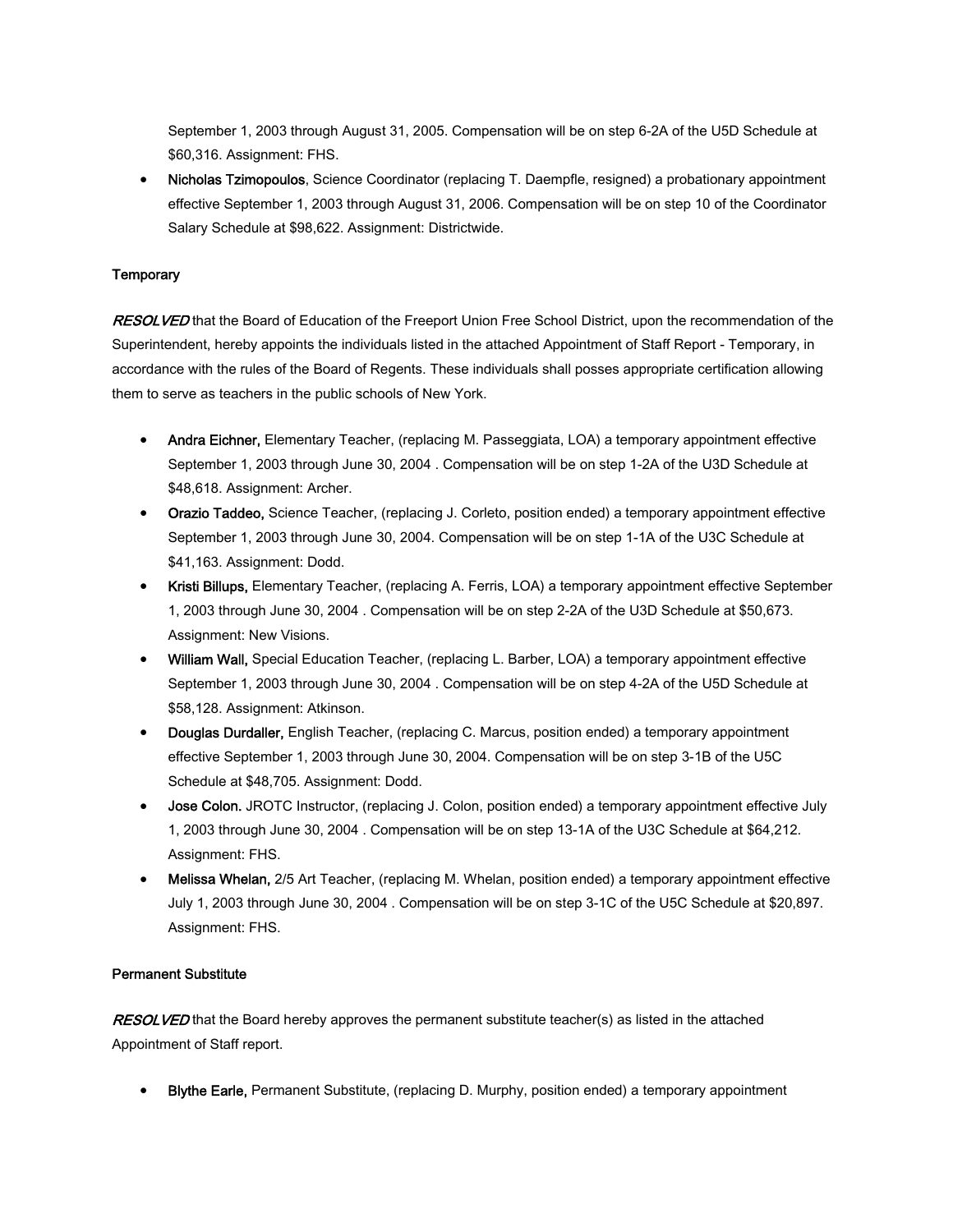September 1, 2003 through August 31, 2005. Compensation will be on step 6-2A of the U5D Schedule at \$60,316. Assignment: FHS.

• Nicholas Tzimopoulos, Science Coordinator (replacing T. Daempfle, resigned) a probationary appointment effective September 1, 2003 through August 31, 2006. Compensation will be on step 10 of the Coordinator Salary Schedule at \$98,622. Assignment: Districtwide.

# **Temporary**

RESOLVED that the Board of Education of the Freeport Union Free School District, upon the recommendation of the Superintendent, hereby appoints the individuals listed in the attached Appointment of Staff Report - Temporary, in accordance with the rules of the Board of Regents. These individuals shall posses appropriate certification allowing them to serve as teachers in the public schools of New York.

- Andra Eichner, Elementary Teacher, (replacing M. Passeggiata, LOA) a temporary appointment effective September 1, 2003 through June 30, 2004 . Compensation will be on step 1-2A of the U3D Schedule at \$48,618. Assignment: Archer.
- Orazio Taddeo, Science Teacher, (replacing J. Corleto, position ended) a temporary appointment effective September 1, 2003 through June 30, 2004. Compensation will be on step 1-1A of the U3C Schedule at \$41,163. Assignment: Dodd.
- Kristi Billups, Elementary Teacher, (replacing A. Ferris, LOA) a temporary appointment effective September 1, 2003 through June 30, 2004 . Compensation will be on step 2-2A of the U3D Schedule at \$50,673. Assignment: New Visions.
- William Wall, Special Education Teacher, (replacing L. Barber, LOA) a temporary appointment effective September 1, 2003 through June 30, 2004 . Compensation will be on step 4-2A of the U5D Schedule at \$58,128. Assignment: Atkinson.
- Douglas Durdaller, English Teacher, (replacing C. Marcus, position ended) a temporary appointment effective September 1, 2003 through June 30, 2004. Compensation will be on step 3-1B of the U5C Schedule at \$48,705. Assignment: Dodd.
- **Jose Colon.** JROTC Instructor, (replacing J. Colon, position ended) a temporary appointment effective July 1, 2003 through June 30, 2004 . Compensation will be on step 13-1A of the U3C Schedule at \$64,212. Assignment: FHS.
- Melissa Whelan, 2/5 Art Teacher, (replacing M. Whelan, position ended) a temporary appointment effective July 1, 2003 through June 30, 2004 . Compensation will be on step 3-1C of the U5C Schedule at \$20,897. Assignment: FHS.

# Permanent Substitute

**RESOLVED** that the Board hereby approves the permanent substitute teacher(s) as listed in the attached Appointment of Staff report.

**Blythe Earle, Permanent Substitute, (replacing D. Murphy, position ended) a temporary appointment**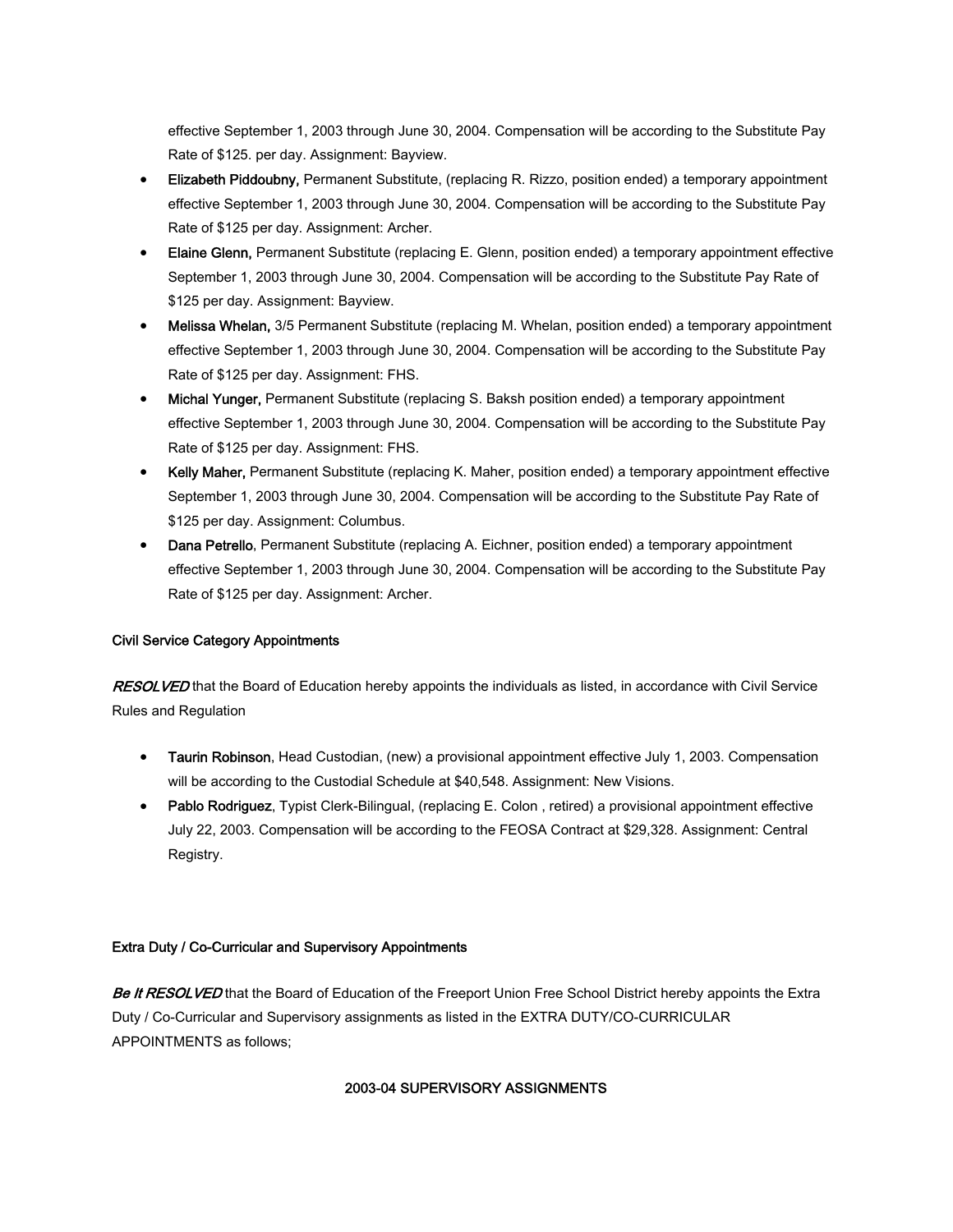effective September 1, 2003 through June 30, 2004. Compensation will be according to the Substitute Pay Rate of \$125. per day. Assignment: Bayview.

- Elizabeth Piddoubny, Permanent Substitute, (replacing R. Rizzo, position ended) a temporary appointment effective September 1, 2003 through June 30, 2004. Compensation will be according to the Substitute Pay Rate of \$125 per day. Assignment: Archer.
- Elaine Glenn, Permanent Substitute (replacing E. Glenn, position ended) a temporary appointment effective September 1, 2003 through June 30, 2004. Compensation will be according to the Substitute Pay Rate of \$125 per day. Assignment: Bayview.
- Melissa Whelan, 3/5 Permanent Substitute (replacing M. Whelan, position ended) a temporary appointment effective September 1, 2003 through June 30, 2004. Compensation will be according to the Substitute Pay Rate of \$125 per day. Assignment: FHS.
- Michal Yunger, Permanent Substitute (replacing S. Baksh position ended) a temporary appointment effective September 1, 2003 through June 30, 2004. Compensation will be according to the Substitute Pay Rate of \$125 per day. Assignment: FHS.
- Kelly Maher, Permanent Substitute (replacing K. Maher, position ended) a temporary appointment effective September 1, 2003 through June 30, 2004. Compensation will be according to the Substitute Pay Rate of \$125 per day. Assignment: Columbus.
- Dana Petrello, Permanent Substitute (replacing A. Eichner, position ended) a temporary appointment effective September 1, 2003 through June 30, 2004. Compensation will be according to the Substitute Pay Rate of \$125 per day. Assignment: Archer.

# Civil Service Category Appointments

RESOLVED that the Board of Education hereby appoints the individuals as listed, in accordance with Civil Service Rules and Regulation

- Taurin Robinson, Head Custodian, (new) a provisional appointment effective July 1, 2003. Compensation will be according to the Custodial Schedule at \$40,548. Assignment: New Visions.
- Pablo Rodriguez, Typist Clerk-Bilingual, (replacing E. Colon, retired) a provisional appointment effective July 22, 2003. Compensation will be according to the FEOSA Contract at \$29,328. Assignment: Central Registry.

# Extra Duty / Co-Curricular and Supervisory Appointments

Be It RESOLVED that the Board of Education of the Freeport Union Free School District hereby appoints the Extra Duty / Co-Curricular and Supervisory assignments as listed in the EXTRA DUTY/CO-CURRICULAR APPOINTMENTS as follows;

# 2003-04 SUPERVISORY ASSIGNMENTS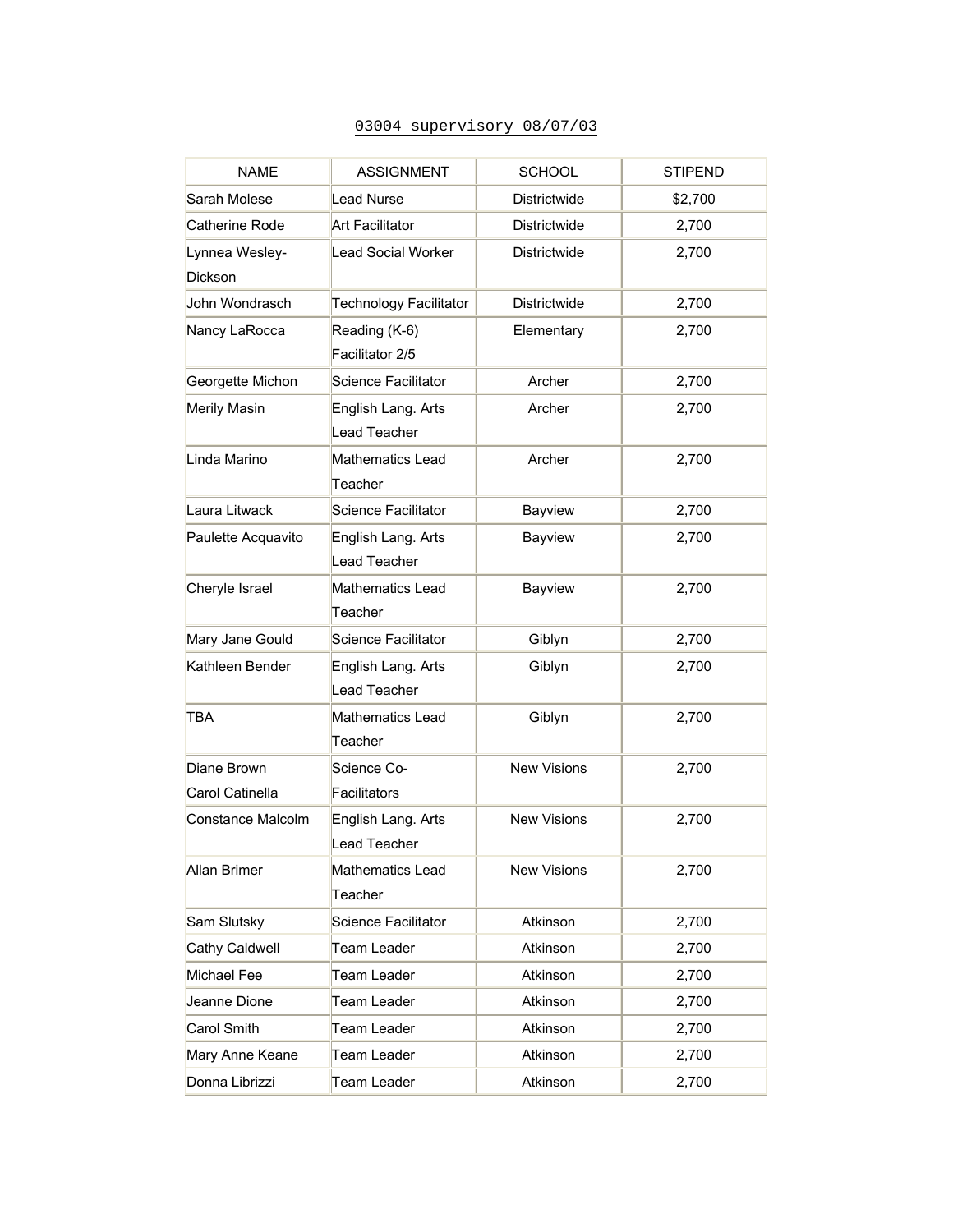# 03004 supervisory 08/07/03

| <b>NAME</b>                      | <b>ASSIGNMENT</b>                         | <b>SCHOOL</b>      | <b>STIPEND</b> |
|----------------------------------|-------------------------------------------|--------------------|----------------|
| Sarah Molese                     | <b>Lead Nurse</b>                         | Districtwide       | \$2,700        |
| Catherine Rode                   | <b>Art Facilitator</b>                    | Districtwide       | 2,700          |
| Lynnea Wesley-<br><b>Dickson</b> | <b>Lead Social Worker</b>                 | Districtwide       | 2,700          |
| John Wondrasch                   | Technology Facilitator                    | Districtwide       | 2,700          |
| Nancy LaRocca                    | Reading (K-6)<br>Facilitator 2/5          | Elementary         | 2,700          |
| Georgette Michon                 | Science Facilitator                       | Archer             | 2,700          |
| Merily Masin                     | English Lang. Arts<br><b>Lead Teacher</b> | Archer             | 2,700          |
| Linda Marino                     | Mathematics Lead<br>Teacher               | Archer             | 2,700          |
| Laura Litwack                    | Science Facilitator                       | Bayview            | 2,700          |
| Paulette Acquavito               | English Lang. Arts<br>Lead Teacher        | Bayview            | 2,700          |
| Cheryle Israel                   | Mathematics Lead<br>Teacher               | Bayview            | 2,700          |
| Mary Jane Gould                  | Science Facilitator                       | Giblyn             | 2,700          |
| Kathleen Bender                  | English Lang. Arts<br>Lead Teacher        | Giblyn             | 2,700          |
| TBA                              | Mathematics Lead<br>Teacher               | Giblyn             | 2,700          |
| Diane Brown<br>Carol Catinella   | Science Co-<br>Facilitators               | <b>New Visions</b> | 2,700          |
| Constance Malcolm                | English Lang. Arts<br>Lead Teacher        | <b>New Visions</b> | 2,700          |
| <b>Allan Brimer</b>              | Mathematics Lead<br>Teacher               | <b>New Visions</b> | 2,700          |
| Sam Slutsky                      | Science Facilitator                       | Atkinson           | 2,700          |
| <b>Cathy Caldwell</b>            | Team Leader                               | Atkinson           | 2,700          |
| Michael Fee                      | Team Leader                               | Atkinson           | 2,700          |
| Jeanne Dione                     | Team Leader                               | Atkinson           | 2,700          |
| Carol Smith                      | Team Leader                               | Atkinson           | 2,700          |
| Mary Anne Keane                  | Team Leader                               | Atkinson           | 2,700          |
| Donna Librizzi                   | Team Leader                               | Atkinson           | 2,700          |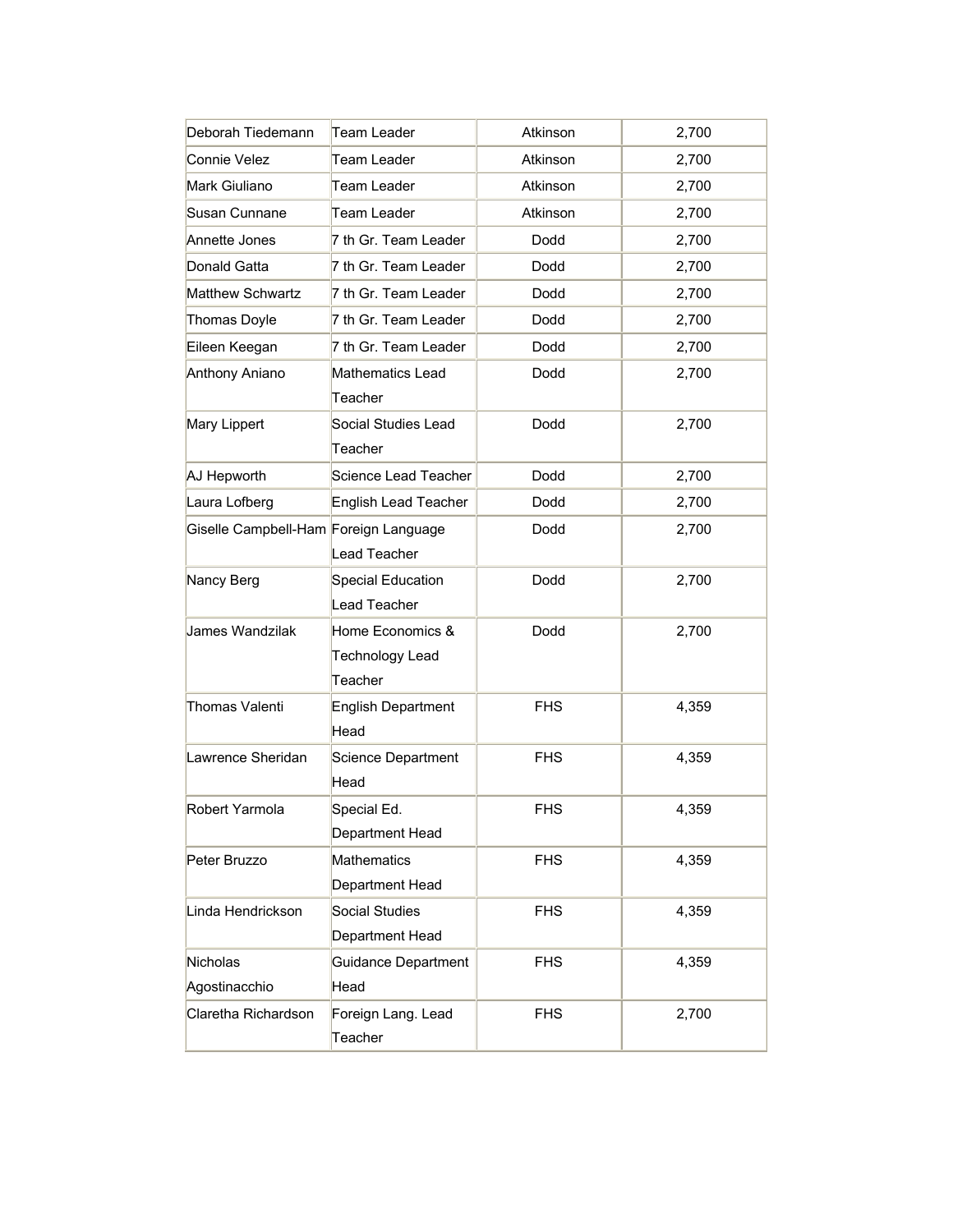| Deborah Tiedemann<br>Team Leader      |                                                | Atkinson   | 2,700 |
|---------------------------------------|------------------------------------------------|------------|-------|
| Connie Velez<br>Team Leader           |                                                | Atkinson   | 2,700 |
| Mark Giuliano                         | <b>Team Leader</b>                             | Atkinson   | 2,700 |
| Susan Cunnane                         | Team Leader                                    | Atkinson   | 2,700 |
| Annette Jones                         | 7 th Gr. Team Leader                           | Dodd       | 2,700 |
| Donald Gatta                          | 7 th Gr. Team Leader                           | Dodd       | 2,700 |
| <b>Matthew Schwartz</b>               | 7 th Gr. Team Leader                           | Dodd       | 2,700 |
| <b>Thomas Doyle</b>                   | 7 th Gr. Team Leader                           | Dodd       | 2,700 |
| Eileen Keegan                         | 7 th Gr. Team Leader                           | Dodd       | 2,700 |
| Anthony Aniano                        | Mathematics Lead<br>Teacher                    | Dodd       | 2,700 |
| Mary Lippert                          | Social Studies Lead<br>Teacher                 | Dodd       | 2,700 |
| AJ Hepworth                           | Science Lead Teacher                           | Dodd       | 2,700 |
| Laura Lofberg                         | <b>English Lead Teacher</b>                    | Dodd       | 2,700 |
| Giselle Campbell-Ham Foreign Language | Lead Teacher                                   | Dodd       | 2,700 |
| Nancy Berg                            | Special Education<br>Lead Teacher              | Dodd       | 2,700 |
| James Wandzilak                       | Home Economics &<br>Technology Lead<br>Teacher | Dodd       | 2,700 |
| Thomas Valenti                        | <b>English Department</b><br>Head              | <b>FHS</b> | 4,359 |
| Lawrence Sheridan                     | Science Department<br>Head                     | <b>FHS</b> | 4,359 |
| Robert Yarmola                        | Special Ed.<br>Department Head                 |            | 4,359 |
| Peter Bruzzo                          | Mathematics<br>Department Head                 |            | 4,359 |
| Linda Hendrickson                     | <b>Social Studies</b><br>Department Head       | <b>FHS</b> | 4,359 |
| Nicholas<br>Agostinacchio             | Guidance Department<br>Head                    | <b>FHS</b> | 4,359 |
| Claretha Richardson                   | Foreign Lang. Lead<br>Teacher                  | <b>FHS</b> | 2,700 |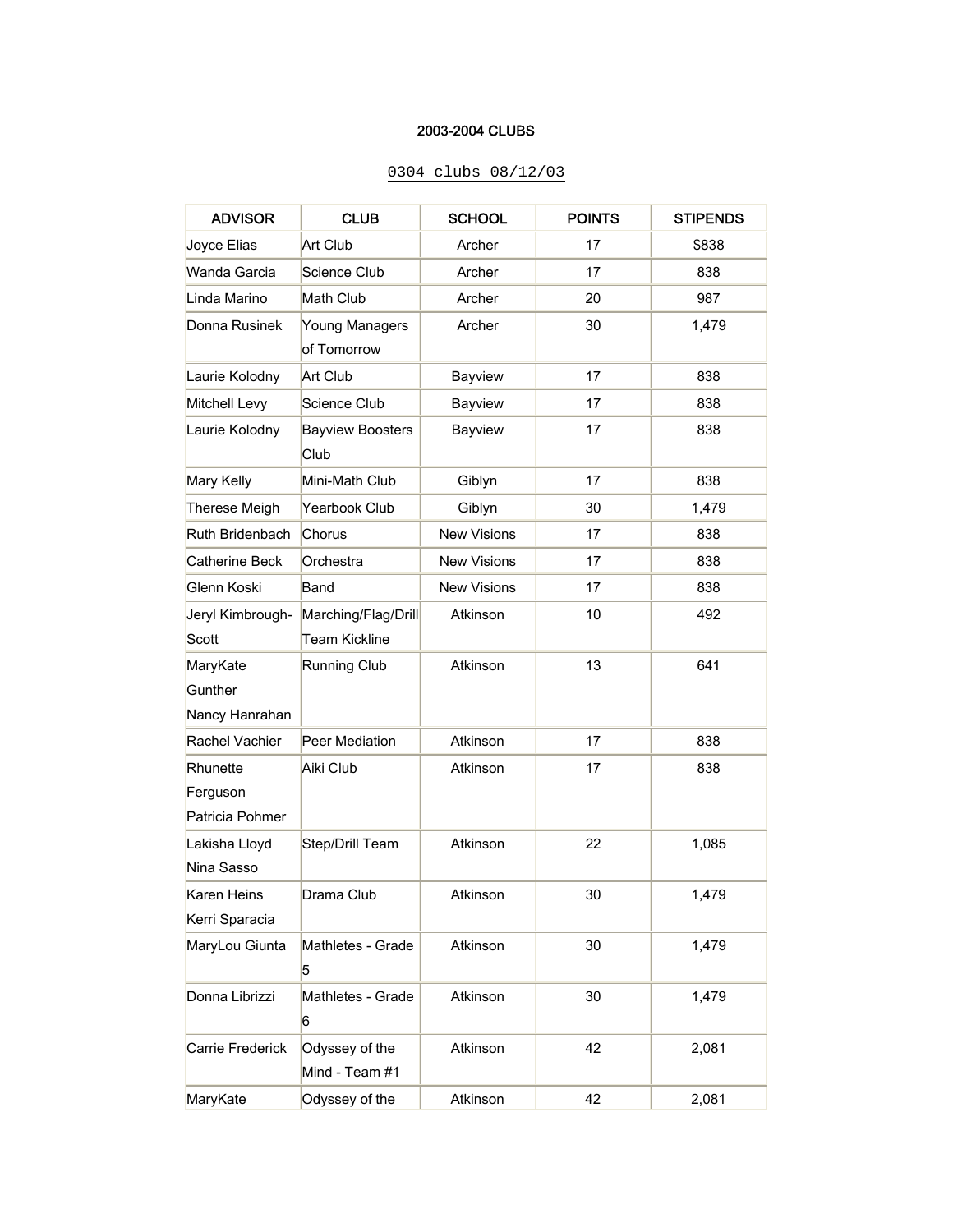#### 2003-2004 CLUBS

# ADVISOR CLUB SCHOOL POINTS STIPENDS Joyce Elias Art Club | Archer | 17 | \$838 Wanda Garcia Science Club Archer 17 838 Linda Marino Math Club | Archer | 20 | 987 Donna Rusinek Young Managers of Tomorrow Archer | 30 | 1,479 Laurie Kolodny Art Club | Bayview | 17 | 838 Mitchell Levy Science Club | Bayview | 17 | 838 Laurie Kolodny | Bayview Boosters Club Bayview | 17 | 838 Mary Kelly Mini-Math Club Giblyn 17 | 838 Therese Meigh Yearbook Club Giblyn 30 1,479 Ruth Bridenbach Chorus New Visions 17 17 838 Catherine Beck Orchestra | New Visions | 17 | 838 Glenn Koski Band 17 | 838 Jeryl Kimbrough-**Scott** Marching/Flag/Drill Team Kickline Atkinson | 10 | 492 MaryKate **Gunther** Nancy Hanrahan Running Club | Atkinson | 13 | 641 Rachel Vachier Peer Mediation | Atkinson | 17 | 838 **Rhunette** Ferguson Patricia Pohmer Aiki Club | Atkinson | 17 | 838 Lakisha Lloyd Nina Sasso Step/Drill Team | Atkinson | 22 | 1,085 Karen Heins Kerri Sparacia Drama Club | Atkinson | 30 | 1,479 MaryLou Giunta Mathletes - Grade 5 Atkinson | 30 | 1,479 Donna Librizzi Mathletes - Grade 6 Atkinson | 30 | 1,479 Carrie Frederick | Odyssey of the Mind - Team #1 Atkinson | 42 | 2,081 MaryKate Odyssey of the Atkinson 42 2,081

#### 0304 clubs 08/12/03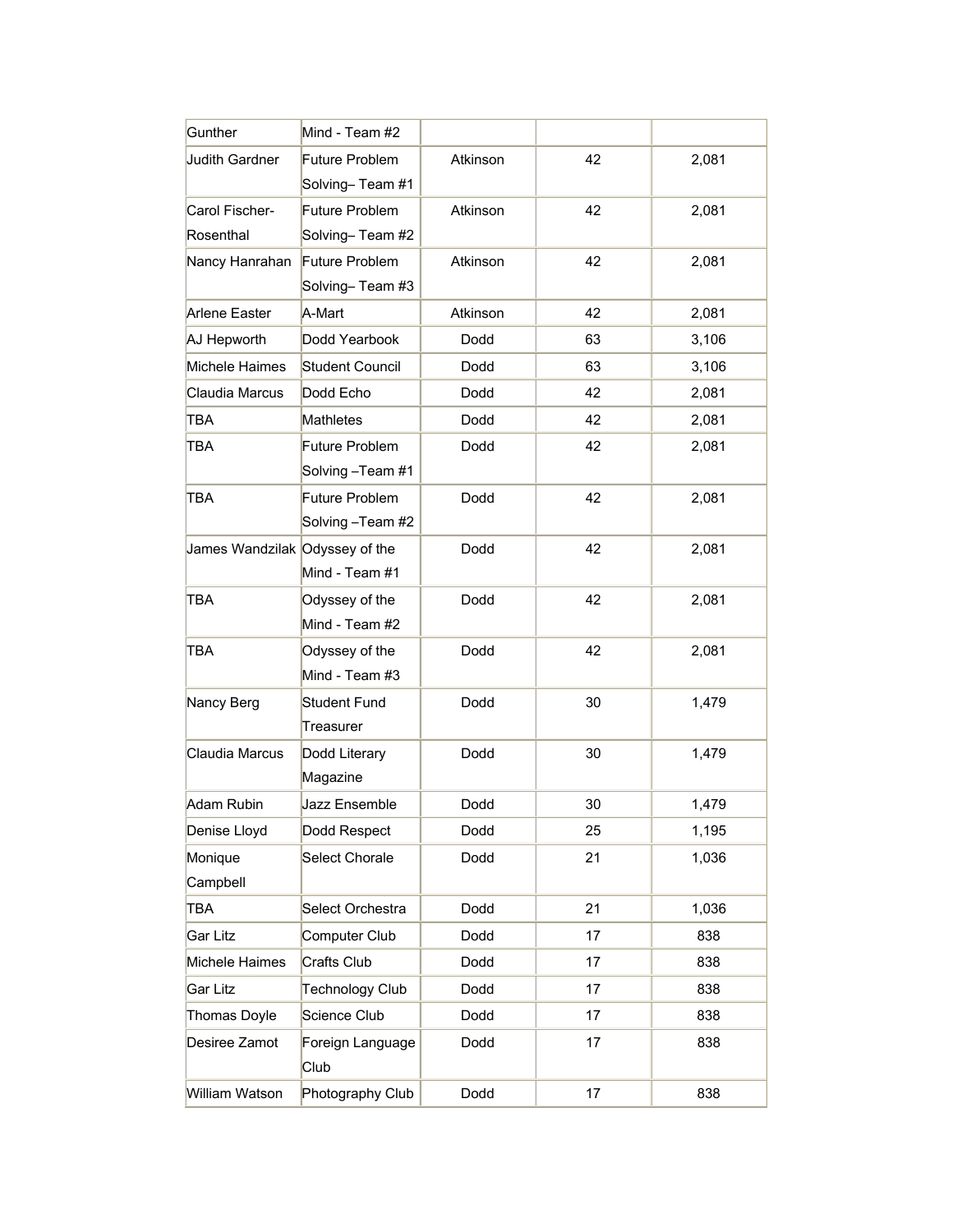| Gunther                        | Mind - Team #2         |          |    |       |
|--------------------------------|------------------------|----------|----|-------|
| <b>Judith Gardner</b>          | Future Problem         | Atkinson | 42 | 2,081 |
|                                | Solving-Team #1        |          |    |       |
| Carol Fischer-                 | Future Problem         | Atkinson | 42 | 2,081 |
| Rosenthal                      | Solving-Team #2        |          |    |       |
| Nancy Hanrahan                 | Future Problem         | Atkinson | 42 | 2,081 |
|                                | Solving-Team #3        |          |    |       |
| Arlene Easter                  | A-Mart                 | Atkinson | 42 | 2,081 |
| AJ Hepworth                    | Dodd Yearbook          | Dodd     | 63 | 3,106 |
| Michele Haimes                 | <b>Student Council</b> | Dodd     | 63 | 3,106 |
| Claudia Marcus                 | Dodd Echo              | Dodd     | 42 | 2,081 |
| TBA                            | <b>Mathletes</b>       | Dodd     | 42 | 2,081 |
| TBA                            | <b>Future Problem</b>  | Dodd     | 42 | 2,081 |
|                                | Solving -Team #1       |          |    |       |
| TBA                            | <b>Future Problem</b>  | Dodd     | 42 | 2,081 |
|                                | Solving –Team #2       |          |    |       |
| James Wandzilak Odyssey of the |                        | Dodd     | 42 | 2,081 |
|                                | Mind - Team #1         |          |    |       |
| TBA                            | Odyssey of the         | Dodd     | 42 | 2,081 |
|                                | Mind - Team #2         |          |    |       |
| TBA                            | Odyssey of the         | Dodd     | 42 | 2,081 |
|                                | Mind - Team #3         |          |    |       |
| Nancy Berg                     | <b>Student Fund</b>    | Dodd     | 30 | 1,479 |
|                                | Treasurer              |          |    |       |
| Claudia Marcus                 | Dodd Literary          | Dodd     | 30 | 1,479 |
|                                | Magazine               |          |    |       |
| Adam Rubin                     | Jazz Ensemble          | Dodd     | 30 | 1,479 |
| Denise Lloyd                   | Dodd Respect           | Dodd     | 25 | 1,195 |
| Monique                        | <b>Select Chorale</b>  | Dodd     | 21 | 1,036 |
| Campbell                       |                        |          |    |       |
| TBA                            | Select Orchestra       | Dodd     | 21 | 1,036 |
| Gar Litz                       | Computer Club          | Dodd     | 17 | 838   |
| Michele Haimes                 | Crafts Club            | Dodd     | 17 | 838   |
| Gar Litz                       | Technology Club        | Dodd     | 17 | 838   |
| Thomas Doyle                   | Science Club           | Dodd     | 17 | 838   |
| Desiree Zamot                  | Foreign Language       | Dodd     | 17 | 838   |
|                                | Club                   |          |    |       |
| William Watson                 | Photography Club       | Dodd     | 17 | 838   |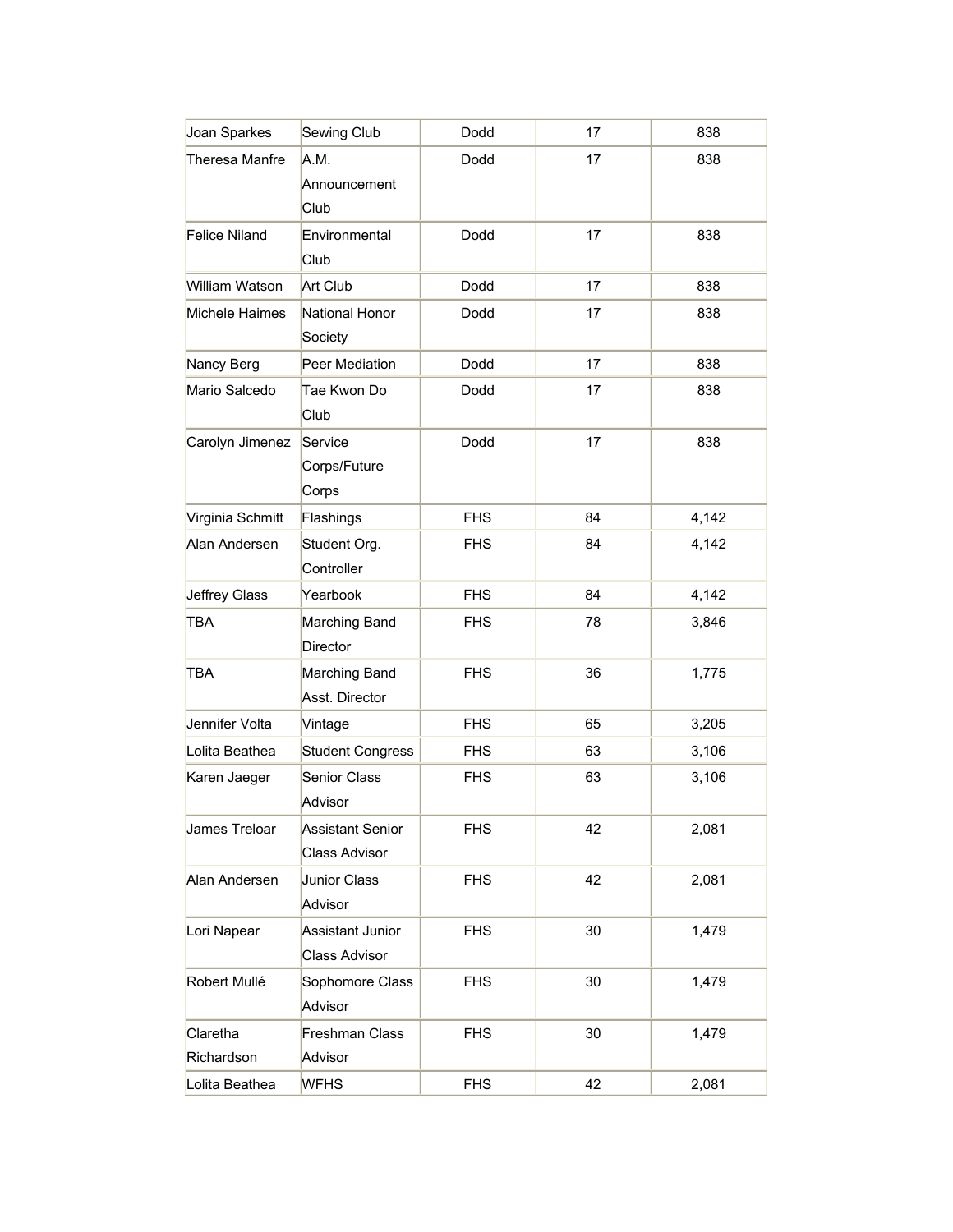| Joan Sparkes           | Sewing Club                                     | Dodd       | 17 | 838   |
|------------------------|-------------------------------------------------|------------|----|-------|
| Theresa Manfre         | A.M.<br>Announcement<br>Club                    | Dodd       | 17 | 838   |
| Felice Niland          | Environmental<br>Club                           | Dodd       | 17 | 838   |
| William Watson         | Art Club                                        | Dodd       | 17 | 838   |
| Michele Haimes         | National Honor<br>Society                       | Dodd       | 17 | 838   |
| Nancy Berg             | Peer Mediation                                  | Dodd       | 17 | 838   |
| Mario Salcedo          | Tae Kwon Do<br>Club                             | Dodd       | 17 | 838   |
| Carolyn Jimenez        | Service<br>Corps/Future<br>Corps                | Dodd       | 17 | 838   |
| Virginia Schmitt       | Flashings                                       | <b>FHS</b> | 84 | 4,142 |
| Alan Andersen          | Student Org.<br>Controller                      | <b>FHS</b> | 84 | 4,142 |
| Jeffrey Glass          | Yearbook                                        | <b>FHS</b> | 84 | 4,142 |
| TBA                    | Marching Band<br><b>Director</b>                | <b>FHS</b> | 78 | 3,846 |
| TBA                    | Marching Band<br>Asst. Director                 | <b>FHS</b> | 36 | 1,775 |
| Jennifer Volta         | Vintage                                         | <b>FHS</b> | 65 | 3,205 |
| Lolita Beathea         | <b>Student Congress</b>                         | <b>FHS</b> | 63 | 3,106 |
| Karen Jaeger           | Senior Class<br>Advisor                         | <b>FHS</b> | 63 | 3,106 |
| James Treloar          | <b>Assistant Senior</b><br><b>Class Advisor</b> | <b>FHS</b> | 42 | 2,081 |
| Alan Andersen          | Junior Class<br>Advisor                         | <b>FHS</b> | 42 | 2,081 |
| Lori Napear            | Assistant Junior<br><b>Class Advisor</b>        | <b>FHS</b> | 30 | 1,479 |
| Robert Mullé           | Sophomore Class<br>Advisor                      | <b>FHS</b> | 30 | 1,479 |
| Claretha<br>Richardson | Freshman Class<br>Advisor                       | <b>FHS</b> | 30 | 1,479 |
| Lolita Beathea         | <b>WFHS</b>                                     | <b>FHS</b> | 42 | 2,081 |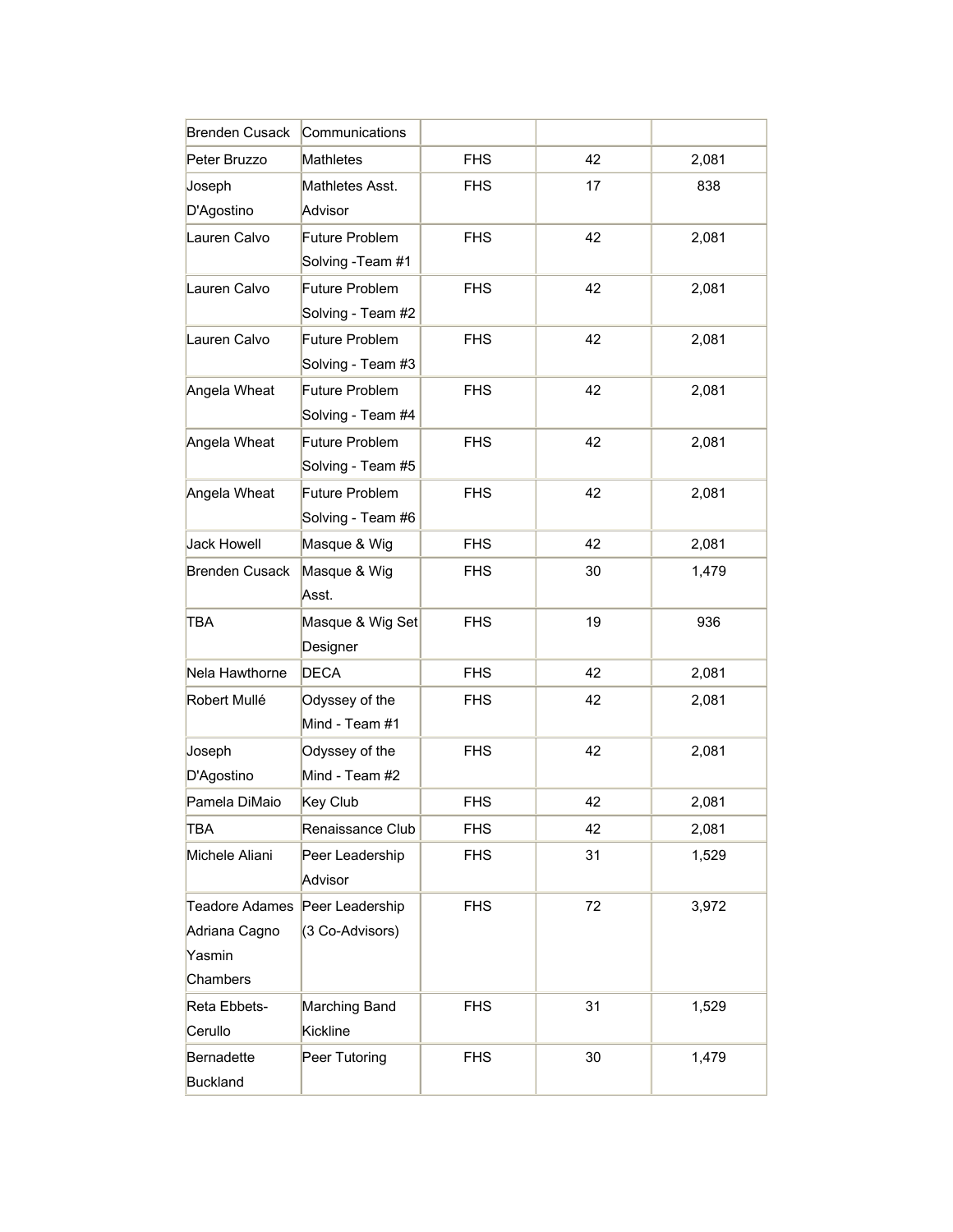| <b>Brenden Cusack</b>                                        | Communications                      |            |        |       |
|--------------------------------------------------------------|-------------------------------------|------------|--------|-------|
| Peter Bruzzo                                                 | Mathletes                           | <b>FHS</b> | 42     | 2,081 |
| Joseph<br>D'Agostino                                         | Mathletes Asst.<br>Advisor          | <b>FHS</b> | 17     | 838   |
| Lauren Calvo                                                 | Future Problem<br>Solving - Team #1 | <b>FHS</b> | 42     | 2,081 |
| Lauren Calvo                                                 | Future Problem<br>Solving - Team #2 | <b>FHS</b> | 42     | 2,081 |
| Lauren Calvo                                                 | Future Problem<br>Solving - Team #3 | <b>FHS</b> | 42     | 2,081 |
| Angela Wheat                                                 | Future Problem<br>Solving - Team #4 | <b>FHS</b> | 42     | 2,081 |
| Angela Wheat                                                 | Future Problem<br>Solving - Team #5 | <b>FHS</b> | 42     | 2,081 |
| Angela Wheat                                                 | Future Problem<br>Solving - Team #6 | <b>FHS</b> | 42     | 2,081 |
| <b>Jack Howell</b>                                           | Masque & Wig                        | <b>FHS</b> | 42     | 2,081 |
| <b>Brenden Cusack</b>                                        | Masque & Wig<br>Asst.               | <b>FHS</b> | 30     | 1,479 |
| TBA                                                          | Masque & Wig Set<br>Designer        | <b>FHS</b> | 19     | 936   |
| Nela Hawthorne                                               | <b>DECA</b>                         | <b>FHS</b> | 42     | 2,081 |
| Robert Mullé                                                 | Odyssey of the<br>Mind - Team #1    | <b>FHS</b> | 42     | 2,081 |
| Joseph<br>D'Agostino                                         | Odyssey of the<br>Mind - Team #2    | <b>FHS</b> | 42     | 2,081 |
| Pamela DiMaio                                                | Key Club                            | <b>FHS</b> | 42     | 2,081 |
| TBA                                                          | Renaissance Club                    | <b>FHS</b> | 42     | 2,081 |
| Michele Aliani                                               | Peer Leadership<br>Advisor          | <b>FHS</b> | 31     | 1,529 |
| <b>Teadore Adames</b><br>Adriana Cagno<br>Yasmin<br>Chambers | Peer Leadership<br>(3 Co-Advisors)  | <b>FHS</b> | 72     | 3,972 |
| Reta Ebbets-<br>Cerullo                                      | Marching Band<br>Kickline           | <b>FHS</b> | 31     | 1,529 |
| Bernadette<br><b>Buckland</b>                                | Peer Tutoring                       | <b>FHS</b> | $30\,$ | 1,479 |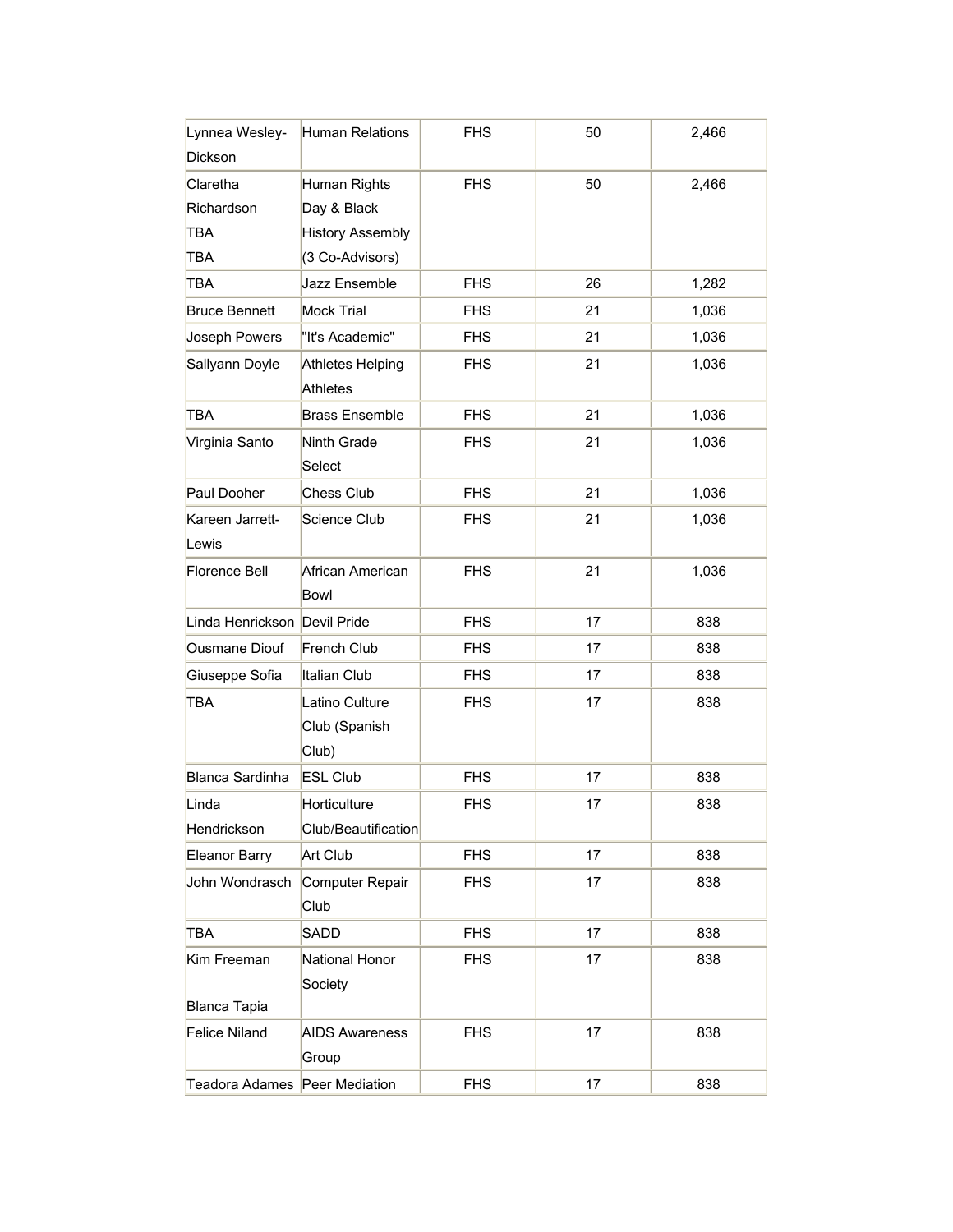| Lynnea Wesley-                | Human Relations                          | <b>FHS</b> | 50 | 2,466 |
|-------------------------------|------------------------------------------|------------|----|-------|
| Dickson                       |                                          |            |    |       |
| Claretha                      | Human Rights                             | <b>FHS</b> | 50 | 2,466 |
| Richardson                    | Day & Black                              |            |    |       |
| TBA                           | <b>History Assembly</b>                  |            |    |       |
| TBA                           | (3 Co-Advisors)                          |            |    |       |
| TBA                           | Jazz Ensemble                            | <b>FHS</b> | 26 | 1,282 |
| <b>Bruce Bennett</b>          | <b>Mock Trial</b>                        | <b>FHS</b> | 21 | 1,036 |
| Joseph Powers                 | "It's Academic"                          | <b>FHS</b> | 21 | 1,036 |
| Sallyann Doyle                | Athletes Helping<br><b>Athletes</b>      | <b>FHS</b> | 21 | 1,036 |
| TBA                           | <b>Brass Ensemble</b>                    | <b>FHS</b> | 21 | 1,036 |
| Virginia Santo                | Ninth Grade<br>Select                    | <b>FHS</b> | 21 | 1,036 |
| Paul Dooher                   | <b>Chess Club</b>                        | <b>FHS</b> | 21 | 1,036 |
| Kareen Jarrett-               | Science Club                             | <b>FHS</b> | 21 | 1,036 |
| Lewis                         |                                          |            |    |       |
| Florence Bell                 | African American<br>Bowl                 | <b>FHS</b> | 21 | 1,036 |
| Linda Henrickson Devil Pride  |                                          | <b>FHS</b> | 17 | 838   |
| <b>Ousmane Diouf</b>          | French Club                              | <b>FHS</b> | 17 | 838   |
| Giuseppe Sofia                | Italian Club                             | <b>FHS</b> | 17 | 838   |
| TBA                           | Latino Culture<br>Club (Spanish<br>Club) | <b>FHS</b> | 17 | 838   |
| <b>Blanca Sardinha</b>        | <b>ESL Club</b>                          | <b>FHS</b> | 17 | 838   |
| Linda                         | Horticulture                             | <b>FHS</b> | 17 | 838   |
| Hendrickson                   | Club/Beautification                      |            |    |       |
| <b>Eleanor Barry</b>          | Art Club                                 | <b>FHS</b> | 17 | 838   |
| John Wondrasch                | Computer Repair<br>Club                  | <b>FHS</b> | 17 | 838   |
| TBA                           | SADD                                     | <b>FHS</b> | 17 | 838   |
| Kim Freeman                   | National Honor                           | <b>FHS</b> | 17 | 838   |
|                               | Society                                  |            |    |       |
| Blanca Tapia                  |                                          |            |    |       |
| Felice Niland                 | <b>AIDS Awareness</b><br>Group           | <b>FHS</b> | 17 | 838   |
| Teadora Adames Peer Mediation |                                          | <b>FHS</b> | 17 | 838   |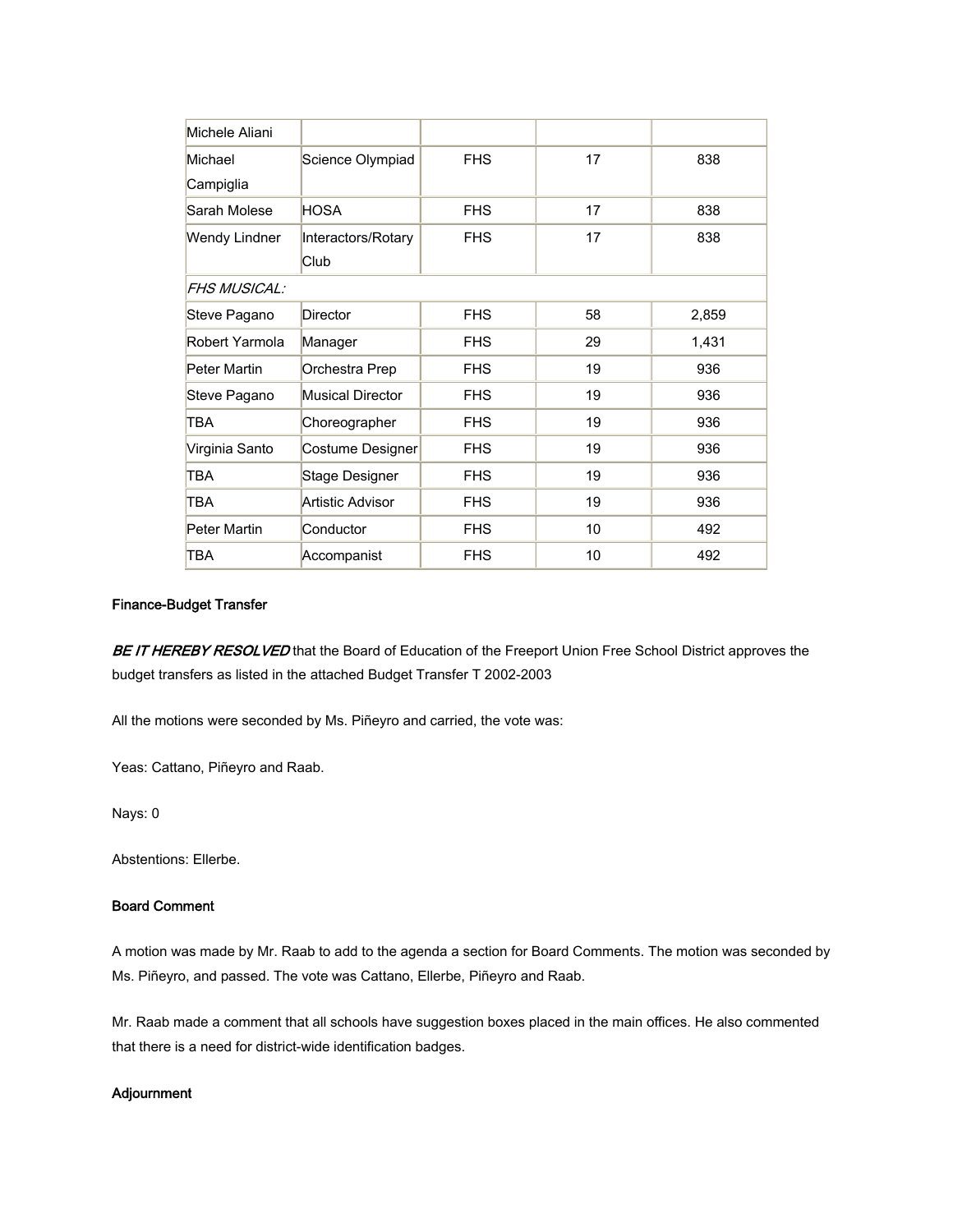| Michele Aliani      |                         |            |    |       |
|---------------------|-------------------------|------------|----|-------|
| Michael             | Science Olympiad        | <b>FHS</b> | 17 | 838   |
| Campiglia           |                         |            |    |       |
| Sarah Molese        | <b>HOSA</b>             | <b>FHS</b> | 17 | 838   |
| Wendy Lindner       | Interactors/Rotary      | <b>FHS</b> | 17 | 838   |
|                     | Club                    |            |    |       |
| <b>FHS MUSICAL:</b> |                         |            |    |       |
| Steve Pagano        | Director                | <b>FHS</b> | 58 | 2,859 |
| Robert Yarmola      | Manager                 | <b>FHS</b> | 29 | 1,431 |
| Peter Martin        | Orchestra Prep          | <b>FHS</b> | 19 | 936   |
| Steve Pagano        | <b>Musical Director</b> | <b>FHS</b> | 19 | 936   |
| <b>TBA</b>          | Choreographer           | <b>FHS</b> | 19 | 936   |
| Virginia Santo      | Costume Designer        | <b>FHS</b> | 19 | 936   |
| <b>TBA</b>          | <b>Stage Designer</b>   | <b>FHS</b> | 19 | 936   |
| <b>TBA</b>          | Artistic Advisor        | <b>FHS</b> | 19 | 936   |
| Peter Martin        | Conductor               | <b>FHS</b> | 10 | 492   |
| <b>TBA</b>          | Accompanist             | <b>FHS</b> | 10 | 492   |

#### Finance-Budget Transfer

BE IT HEREBY RESOLVED that the Board of Education of the Freeport Union Free School District approves the budget transfers as listed in the attached Budget Transfer T 2002-2003

All the motions were seconded by Ms. Piñeyro and carried, the vote was:

Yeas: Cattano, Piñeyro and Raab.

Nays: 0

Abstentions: Ellerbe.

#### Board Comment

A motion was made by Mr. Raab to add to the agenda a section for Board Comments. The motion was seconded by Ms. Piñeyro, and passed. The vote was Cattano, Ellerbe, Piñeyro and Raab.

Mr. Raab made a comment that all schools have suggestion boxes placed in the main offices. He also commented that there is a need for district-wide identification badges.

#### Adjournment